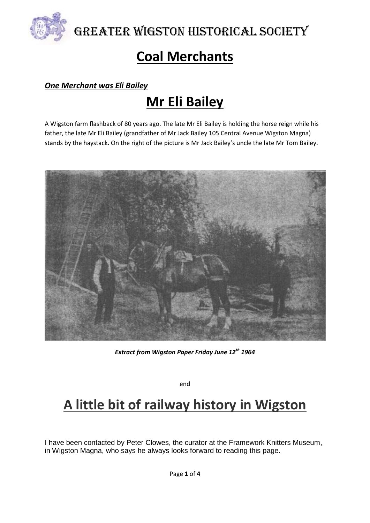

Greater Wigston Historical Society

# **Coal Merchants**

#### *One Merchant was Eli Bailey*

## **Mr Eli Bailey**

A Wigston farm flashback of 80 years ago. The late Mr Eli Bailey is holding the horse reign while his father, the late Mr Eli Bailey (grandfather of Mr Jack Bailey 105 Central Avenue Wigston Magna) stands by the haystack. On the right of the picture is Mr Jack Bailey's uncle the late Mr Tom Bailey.



*Extract from Wigston Paper Friday June 12th 1964*

end

## **A little bit of railway history in Wigston**

I have been contacted by Peter Clowes, the curator at the Framework Knitters Museum, in Wigston Magna, who says he always looks forward to reading this page.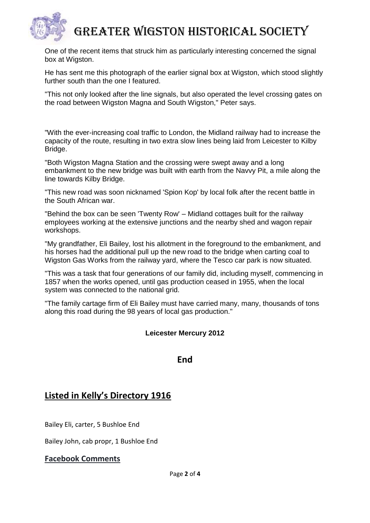

## Greater Wigston Historical Society

One of the recent items that struck him as particularly interesting concerned the signal box at Wigston.

He has sent me this photograph of the earlier signal box at Wigston, which stood slightly further south than the one I featured.

"This not only looked after the line signals, but also operated the level crossing gates on the road between Wigston Magna and South Wigston," Peter says.

"With the ever-increasing coal traffic to London, the Midland railway had to increase the capacity of the route, resulting in two extra slow lines being laid from Leicester to Kilby Bridge.

"Both Wigston Magna Station and the crossing were swept away and a long embankment to the new bridge was built with earth from the Navvy Pit, a mile along the line towards Kilby Bridge.

"This new road was soon nicknamed 'Spion Kop' by local folk after the recent battle in the South African war.

"Behind the box can be seen 'Twenty Row' – Midland cottages built for the railway employees working at the extensive junctions and the nearby shed and wagon repair workshops.

"My grandfather, Eli Bailey, lost his allotment in the foreground to the embankment, and his horses had the additional pull up the new road to the bridge when carting coal to Wigston Gas Works from the railway yard, where the Tesco car park is now situated.

"This was a task that four generations of our family did, including myself, commencing in 1857 when the works opened, until gas production ceased in 1955, when the local system was connected to the national grid.

"The family cartage firm of Eli Bailey must have carried many, many, thousands of tons along this road during the 98 years of local gas production."

#### **Leicester Mercury 2012**

#### **End**

## **Listed in Kelly's Directory 1916**

Bailey Eli, carter, 5 Bushloe End

Bailey John, cab propr, 1 Bushloe End

#### **Facebook Comments**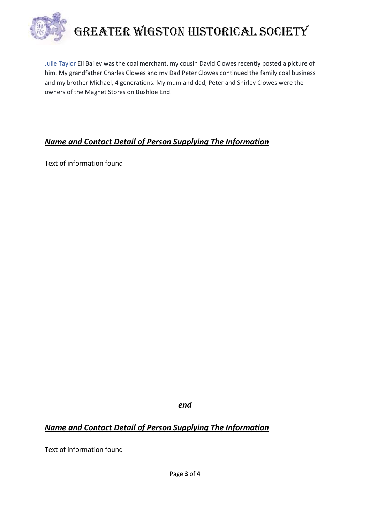

# Greater Wigston Historical Society

[Julie Taylor](https://www.facebook.com/profile.php?id=100000200284453&fref=ufi) Eli Bailey was the coal merchant, my cousin David Clowes recently posted a picture of him. My grandfather Charles Clowes and my Dad Peter Clowes continued the family coal business and my brother Michael, 4 generations. My mum and dad, Peter and Shirley Clowes were the owners of the Magnet Stores on Bushloe End.

### *Name and Contact Detail of Person Supplying The Information*

Text of information found

*end*

## *Name and Contact Detail of Person Supplying The Information*

Text of information found